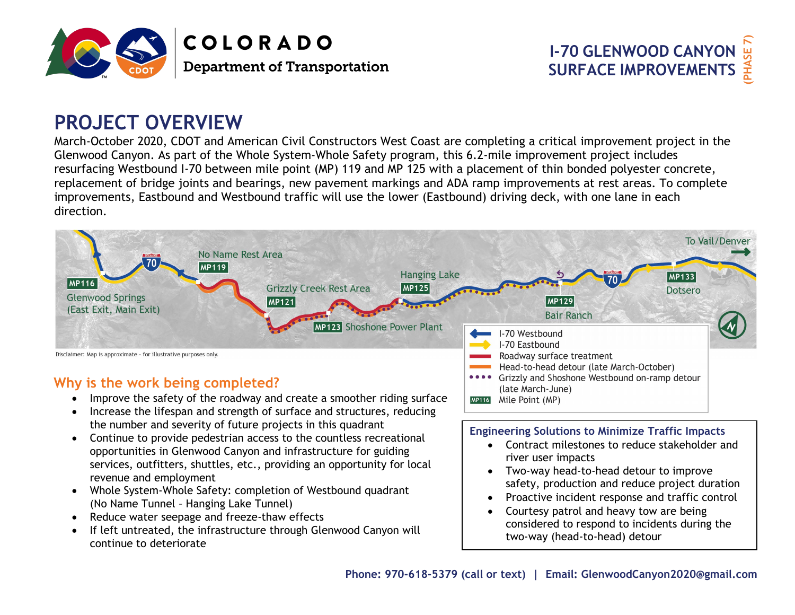



# **PROJECT OVERVIEW**

March-October 2020, CDOT and American Civil Constructors West Coast are completing a critical improvement project in the Glenwood Canyon. As part of the Whole System-Whole Safety program, this 6.2-mile improvement project includes resurfacing Westbound I-70 between mile point (MP) 119 and MP 125 with a placement of thin bonded polyester concrete, replacement of bridge joints and bearings, new pavement markings and ADA ramp improvements at rest areas. To complete improvements, Eastbound and Westbound traffic will use the lower (Eastbound) driving deck, with one lane in each direction.



- •• Improve the safety of the roadway and create a smoother riding surface
- Increase the lifespan and strength of surface and structures, reducing the number and severity of future projects in this quadrant
- Continue to provide pedestrian access to the countless recreational opportunities in Glenwood Canyon and infrastructure for guiding services, outfitters, shuttles, etc., providing an opportunity for localrevenue and employment
- Whole System-Whole Safety: completion of Westbound quadrant (No Name Tunnel – Hanging Lake Tunnel)
- Reduce water seepage and freeze-thaw effects
- • If left untreated, the infrastructure through Glenwood Canyon will continue to deteriorate

### **Engineering Solutions to Minimize Traffic Impacts**

- Contract milestones to reduce stakeholder andriver user impacts
- Two-way head-to-head detour to improve safety, production and reduce project duration
- 0 Proactive incident response and traffic control
- 0 Courtesy patrol and heavy tow are being considered to respond to incidents during the two-way (head-to-head) detour